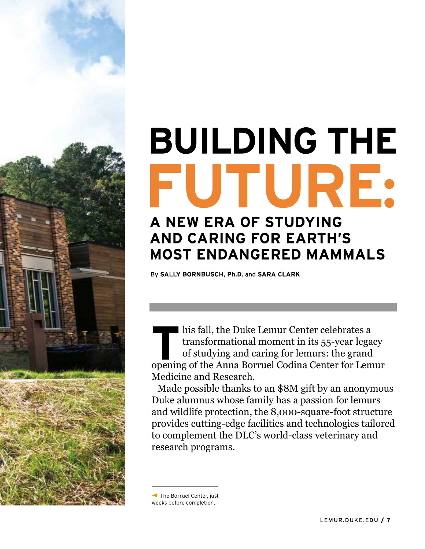

# **BUILDING THE** FUTURE: A NEW ERA OF STUDYING

## **AND CARING FOR EARTH'S MOST ENDANGERED MAMMALS**

By SALLY BORNBUSCH, Ph.D. and SARA CLARK

his fall, the Duke Lemur Center celebrates a transformational moment in its 55-year legacy of studying and caring for lemurs: the grand opening of the Anna Borruel Codina Center for Lemur Medicine and Research.

Made possible thanks to an \$8M gift by an anonymous Duke alumnus whose family has a passion for lemurs and wildlife protection, the 8,000-square-foot structure provides cutting-edge facilities and technologies tailored to complement the DLC's world-class veterinary and research programs.

The Borruel Center, just weeks before completion.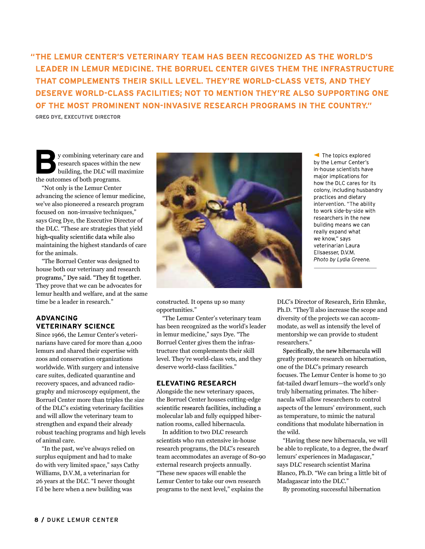"THE LEMUR CENTER'S VETERINARY TEAM HAS BEEN RECOGNIZED AS THE WORLD'S LEADER IN LEMUR MEDICINE. THE BORRUEL CENTER GIVES THEM THE INFRASTRUCTURE THAT COMPLEMENTS THEIR SKILL LEVEL. THEY'RE WORLD-CLASS VETS, AND THEY DESERVE WORLD-CLASS FACILITIES; NOT TO MENTION THEY'RE ALSO SUPPORTING ONE OF THE MOST PROMINENT NON-INVASIVE RESEARCH PROGRAMS IN THE COUNTRY."

**GREG DYE, EXECUTIVE DIRECTOR** 

y combining veterinary care and research spaces within the new building, the DLC will maximize the outcomes of both programs.

"Not only is the Lemur Center advancing the science of lemur medicine, we've also pioneered a research program focused on non-invasive techniques," says Greg Dye, the Executive Director of the DLC. "These are strategies that yield high-quality scientific data while also maintaining the highest standards of care for the animals.

"The Borruel Center was designed to house both our veterinary and research programs," Dye said. "They fit together. They prove that we can be advocates for lemur health and welfare, and at the same time be a leader in research."

#### **ADVANCING VETERINARY SCIENCE**

Since 1966, the Lemur Center's veterinarians have cared for more than 4,000 lemurs and shared their expertise with zoos and conservation organizations worldwide. With surgery and intensive care suites, dedicated quarantine and recovery spaces, and advanced radiography and microscopy equipment, the Borruel Center more than triples the size of the DLC's existing veterinary facilities scientific research facilities, including a and will allow the veterinary team to strengthen and expand their already robust teaching programs and high levels of animal care.

"In the past, we've always relied on surplus equipment and had to make do with very limited space," says Cathy Williams, D.V.M, a veterinarian for 26 years at the DLC. "I never thought I'd be here when a new building was



The topics explored by the Lemur Center's in-house scientists have major implications for how the DLC cares for its colony, including husbandry practices and dietary intervention. "The ability to work side-by-side with researchers in the new building means we can really expand what we know," says veterinarian Laura Ellsaesser, D.V.M. Photo by Lydia Greene.

constructed. It opens up so many opportunities."

"The Lemur Center's veterinary team has been recognized as the world's leader in lemur medicine," says Dye. "The Borruel Center gives them the infrastructure that complements their skill level. They're world-class vets, and they deserve world-class facilities."

#### **ELEVATING RESEARCH**

Alongside the new veterinary spaces, the Borruel Center houses cutting-edge molecular lab and fully equipped hibernation rooms, called hibernacula.

In addition to two DLC research scientists who run extensive in-house research programs, the DLC's research team accommodates an average of 80-90 external research projects annually. "These new spaces will enable the Lemur Center to take our own research programs to the next level," explains the

DLC's Director of Research, Erin Ehmke, Ph.D. "They'll also increase the scope and diversity of the projects we can accommodate, as well as intensify the level of mentorship we can provide to student researchers."

greatly promote research on hibernation, one of the DLC's primary research focuses. The Lemur Center is home to 30 fat-tailed dwarf lemurs—the world's only truly hibernating primates. The hibernacula will allow researchers to control aspects of the lemurs' environment, such as temperature, to mimic the natural conditions that modulate hibernation in the wild.

"Having these new hibernacula, we will be able to replicate, to a degree, the dwarf lemurs' experiences in Madagascar," says DLC research scientist Marina Blanco, Ph.D. "We can bring a little bit of Madagascar into the DLC."

By promoting successful hibernation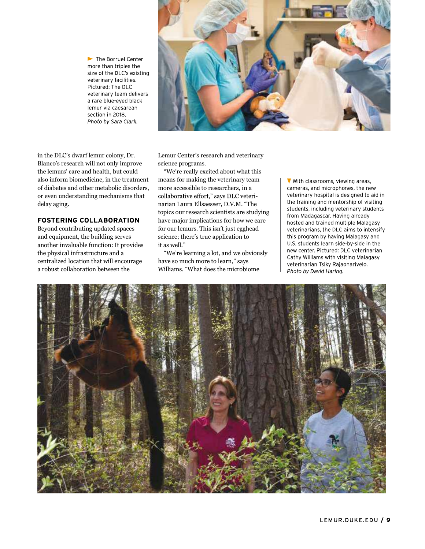The Borruel Center more than triples the size of the DLC's existing veterinary facilities. Pictured: The DLC veterinary team delivers a rare blue-eyed black lemur via caesarean section in 2018. Photo by Sara Clark.



in the DLC's dwarf lemur colony, Dr. Blanco's research will not only improve the lemurs' care and health, but could also inform biomedicine, in the treatment of diabetes and other metabolic disorders, or even understanding mechanisms that delay aging.

#### **FOSTERING COLLABORATION**

Beyond contributing updated spaces and equipment, the building serves another invaluable function: It provides the physical infrastructure and a centralized location that will encourage a robust collaboration between the

Lemur Center's research and veterinary science programs.

"We're really excited about what this means for making the veterinary team  $\sqrt{\sqrt{w}}$  with classrooms, viewing areas, more accessible to researchers, in a<br>
cameras, and microphones, the new<br>
collaborative effort," says DLC veteri-<br>
respectively the training and mentorship of visiting<br>
the training and mentorship of visiting narian Laura Ellsaesser, D.V.M. "The the training and mentorship of visiting<br>students, including veterinary students topics our research scientists are studying<br>from Madagascar. Having already have major implications for how we care hosted and trained multiple Malagasy for our lemurs. This isn't just egghead veterinarians, the DLC aims to intensify science; there's true application to<br>it as well "<br>U.S. students learn side-by-side in the it as well."

have so much more to learn," says<br>veterinarian Tsiky Rajaonarivelo. Williams. "What does the microbiome

"We're learning a lot, and we obviously example we center. Pictured: DLC veterinarian<br>Cathy Williams with visiting Malagasy Photo by David Haring.